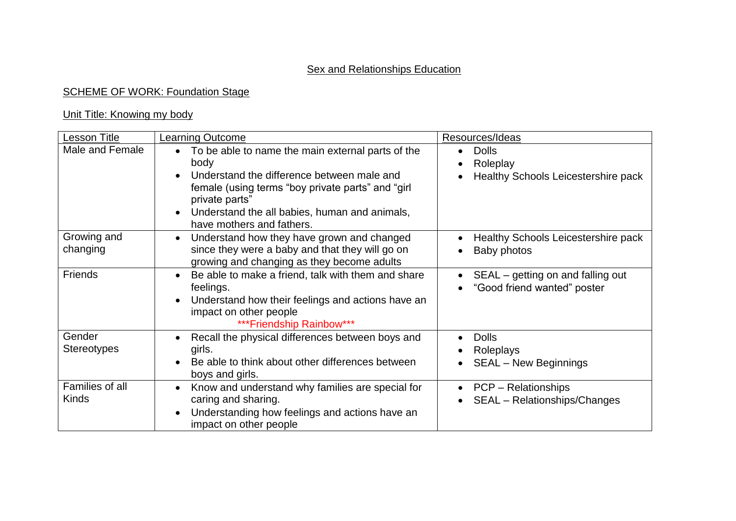## **SCHEME OF WORK: Foundation Stage**

### Unit Title: Knowing my body

| Lesson Title                    | <b>Learning Outcome</b>                                                                                                                                                                          | Resources/Ideas                                                         |
|---------------------------------|--------------------------------------------------------------------------------------------------------------------------------------------------------------------------------------------------|-------------------------------------------------------------------------|
| Male and Female                 | To be able to name the main external parts of the<br>$\bullet$<br>body                                                                                                                           | <b>Dolls</b><br>$\bullet$<br>Roleplay                                   |
|                                 | Understand the difference between male and<br>female (using terms "boy private parts" and "girl"<br>private parts"<br>Understand the all babies, human and animals,<br>have mothers and fathers. | Healthy Schools Leicestershire pack                                     |
| Growing and<br>changing         | Understand how they have grown and changed<br>since they were a baby and that they will go on<br>growing and changing as they become adults                                                      | Healthy Schools Leicestershire pack<br>$\bullet$<br>Baby photos         |
| Friends                         | Be able to make a friend, talk with them and share<br>feelings.<br>Understand how their feelings and actions have an<br>impact on other people<br>***Friendship Rainbow***                       | SEAL – getting on and falling out<br>"Good friend wanted" poster        |
| Gender<br><b>Stereotypes</b>    | Recall the physical differences between boys and<br>girls.<br>Be able to think about other differences between<br>boys and girls.                                                                | <b>Dolls</b><br>$\bullet$<br>Roleplays<br><b>SEAL - New Beginnings</b>  |
| Families of all<br><b>Kinds</b> | Know and understand why families are special for<br>caring and sharing.<br>Understanding how feelings and actions have an<br>impact on other people                                              | <b>PCP</b> – Relationships<br>$\bullet$<br>SEAL - Relationships/Changes |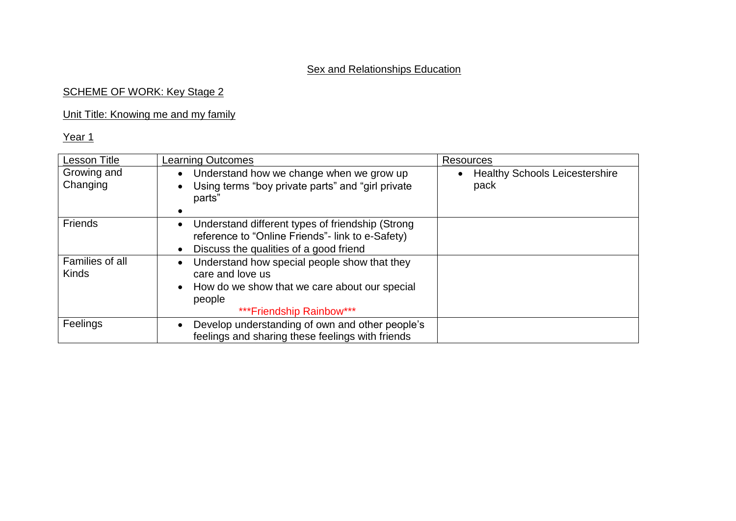### SCHEME OF WORK: Key Stage 2

## Unit Title: Knowing me and my family

| <b>Lesson Title</b>             | <b>Learning Outcomes</b>                                                                                                                                | Resources                                     |
|---------------------------------|---------------------------------------------------------------------------------------------------------------------------------------------------------|-----------------------------------------------|
| Growing and<br>Changing         | Understand how we change when we grow up<br>Using terms "boy private parts" and "girl private"<br>parts"                                                | <b>Healthy Schools Leicestershire</b><br>pack |
| Friends                         | Understand different types of friendship (Strong<br>reference to "Online Friends"- link to e-Safety)<br>Discuss the qualities of a good friend          |                                               |
| Families of all<br><b>Kinds</b> | Understand how special people show that they<br>care and love us<br>How do we show that we care about our special<br>people<br>***Friendship Rainbow*** |                                               |
| Feelings                        | Develop understanding of own and other people's<br>feelings and sharing these feelings with friends                                                     |                                               |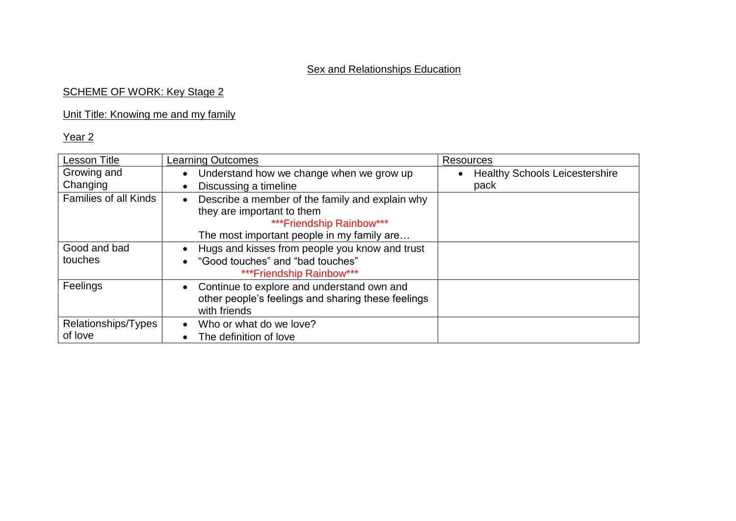## SCHEME OF WORK: Key Stage 2

## Unit Title: Knowing me and my family

| <b>Lesson Title</b>          | <b>Learning Outcomes</b>                                                                                                      | <b>Resources</b>                      |
|------------------------------|-------------------------------------------------------------------------------------------------------------------------------|---------------------------------------|
| Growing and                  | Understand how we change when we grow up<br>$\bullet$                                                                         | <b>Healthy Schools Leicestershire</b> |
| Changing                     | Discussing a timeline<br>$\bullet$                                                                                            | pack                                  |
| <b>Families of all Kinds</b> | Describe a member of the family and explain why<br>$\bullet$<br>they are important to them<br>*** Friendship Rainbow***       |                                       |
|                              | The most important people in my family are                                                                                    |                                       |
| Good and bad                 | Hugs and kisses from people you know and trust                                                                                |                                       |
| touches                      | "Good touches" and "bad touches"<br>***Friendship Rainbow***                                                                  |                                       |
| Feelings                     | Continue to explore and understand own and<br>$\bullet$<br>other people's feelings and sharing these feelings<br>with friends |                                       |
| Relationships/Types          | Who or what do we love?<br>$\bullet$                                                                                          |                                       |
| of love                      | The definition of love<br>$\bullet$                                                                                           |                                       |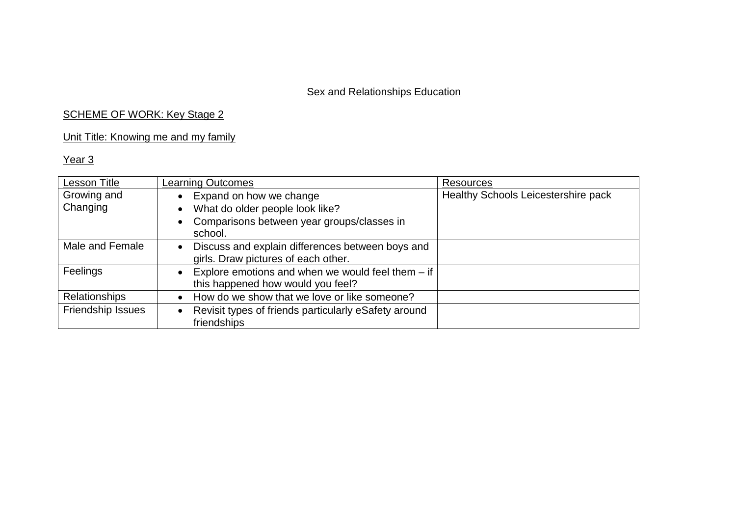## SCHEME OF WORK: Key Stage 2

# Unit Title: Knowing me and my family

| <b>Lesson Title</b>     | <b>Learning Outcomes</b>                                                                                 | <b>Resources</b>                           |
|-------------------------|----------------------------------------------------------------------------------------------------------|--------------------------------------------|
| Growing and<br>Changing | Expand on how we change<br>What do older people look like?<br>Comparisons between year groups/classes in | <b>Healthy Schools Leicestershire pack</b> |
| Male and Female         | school.<br>Discuss and explain differences between boys and<br>girls. Draw pictures of each other.       |                                            |
| Feelings                | Explore emotions and when we would feel them $-$ if $ $<br>this happened how would you feel?             |                                            |
| <b>Relationships</b>    | How do we show that we love or like someone?                                                             |                                            |
| Friendship Issues       | Revisit types of friends particularly eSafety around<br>friendships                                      |                                            |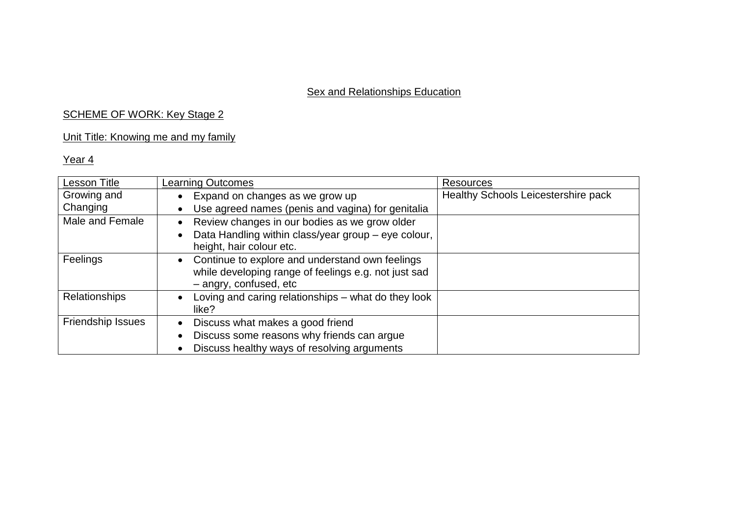## SCHEME OF WORK: Key Stage 2

## Unit Title: Knowing me and my family

| Lesson Title      | Learning Outcomes                                                                                                                 | <b>Resources</b>                           |
|-------------------|-----------------------------------------------------------------------------------------------------------------------------------|--------------------------------------------|
| Growing and       | Expand on changes as we grow up                                                                                                   | <b>Healthy Schools Leicestershire pack</b> |
| Changing          | Use agreed names (penis and vagina) for genitalia                                                                                 |                                            |
| Male and Female   | Review changes in our bodies as we grow older                                                                                     |                                            |
|                   | Data Handling within class/year group - eye colour,<br>height, hair colour etc.                                                   |                                            |
| Feelings          | Continue to explore and understand own feelings<br>while developing range of feelings e.g. not just sad<br>- angry, confused, etc |                                            |
| Relationships     | Loving and caring relationships – what do they look<br>like?                                                                      |                                            |
| Friendship Issues | Discuss what makes a good friend                                                                                                  |                                            |
|                   | Discuss some reasons why friends can argue                                                                                        |                                            |
|                   | Discuss healthy ways of resolving arguments                                                                                       |                                            |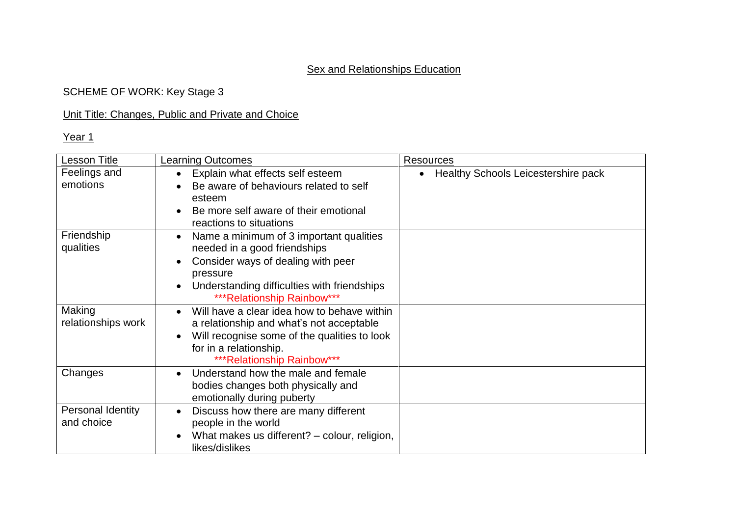### SCHEME OF WORK: Key Stage 3

## Unit Title: Changes, Public and Private and Choice

| <b>Lesson Title</b>             | <b>Learning Outcomes</b>                                                                                                                                                                                                                       | <b>Resources</b>                           |
|---------------------------------|------------------------------------------------------------------------------------------------------------------------------------------------------------------------------------------------------------------------------------------------|--------------------------------------------|
| Feelings and<br>emotions        | Explain what effects self esteem<br>$\bullet$<br>Be aware of behaviours related to self<br>$\bullet$<br>esteem<br>Be more self aware of their emotional<br>$\bullet$<br>reactions to situations                                                | <b>Healthy Schools Leicestershire pack</b> |
| Friendship<br>qualities         | Name a minimum of 3 important qualities<br>$\bullet$<br>needed in a good friendships<br>Consider ways of dealing with peer<br>$\bullet$<br>pressure<br>Understanding difficulties with friendships<br>$\bullet$<br>*** Relationship Rainbow*** |                                            |
| Making<br>relationships work    | Will have a clear idea how to behave within<br>$\bullet$<br>a relationship and what's not acceptable<br>Will recognise some of the qualities to look<br>$\bullet$<br>for in a relationship.<br>*** Relationship Rainbow***                     |                                            |
| Changes                         | Understand how the male and female<br>$\bullet$<br>bodies changes both physically and<br>emotionally during puberty                                                                                                                            |                                            |
| Personal Identity<br>and choice | Discuss how there are many different<br>$\bullet$<br>people in the world<br>What makes us different? – colour, religion,<br>$\bullet$<br>likes/dislikes                                                                                        |                                            |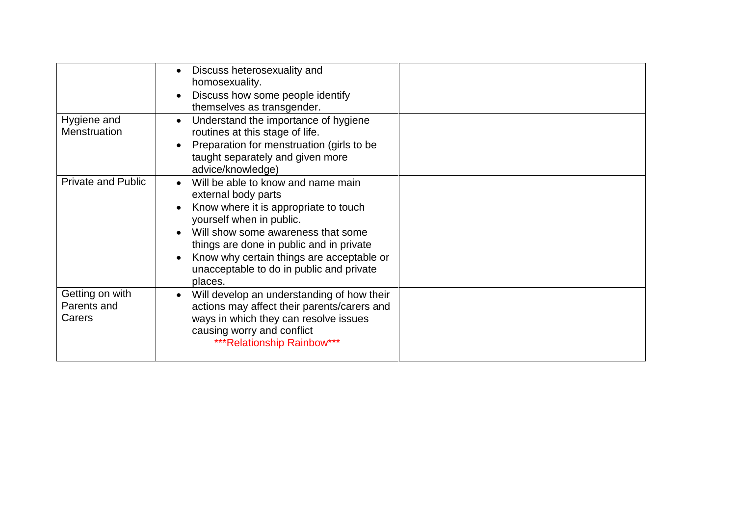| Hygiene and                              | Discuss heterosexuality and<br>$\bullet$<br>homosexuality.<br>Discuss how some people identify<br>$\bullet$<br>themselves as transgender.<br>Understand the importance of hygiene<br>$\bullet$                                                                                                                                                 |  |
|------------------------------------------|------------------------------------------------------------------------------------------------------------------------------------------------------------------------------------------------------------------------------------------------------------------------------------------------------------------------------------------------|--|
| Menstruation                             | routines at this stage of life.<br>Preparation for menstruation (girls to be<br>taught separately and given more<br>advice/knowledge)                                                                                                                                                                                                          |  |
| <b>Private and Public</b>                | Will be able to know and name main<br>$\bullet$<br>external body parts<br>Know where it is appropriate to touch<br>$\bullet$<br>yourself when in public.<br>Will show some awareness that some<br>things are done in public and in private<br>Know why certain things are acceptable or<br>unacceptable to do in public and private<br>places. |  |
| Getting on with<br>Parents and<br>Carers | Will develop an understanding of how their<br>$\bullet$<br>actions may affect their parents/carers and<br>ways in which they can resolve issues<br>causing worry and conflict<br>*** Relationship Rainbow***                                                                                                                                   |  |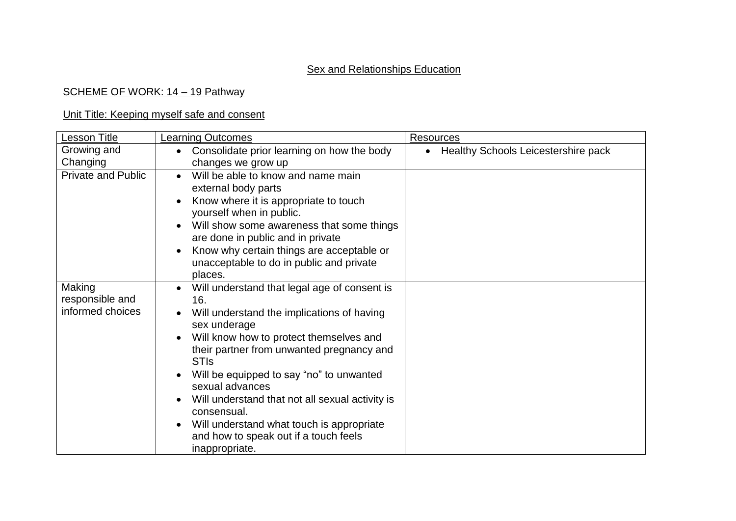### SCHEME OF WORK: 14 - 19 Pathway

### Unit Title: Keeping myself safe and consent

| <b>Lesson Title</b>                           | <b>Learning Outcomes</b>                                                                                                                                                                                                                                                                                                                                                                                                                                                                    | <b>Resources</b>                    |
|-----------------------------------------------|---------------------------------------------------------------------------------------------------------------------------------------------------------------------------------------------------------------------------------------------------------------------------------------------------------------------------------------------------------------------------------------------------------------------------------------------------------------------------------------------|-------------------------------------|
| Growing and                                   | Consolidate prior learning on how the body                                                                                                                                                                                                                                                                                                                                                                                                                                                  | Healthy Schools Leicestershire pack |
| Changing                                      | changes we grow up                                                                                                                                                                                                                                                                                                                                                                                                                                                                          |                                     |
| <b>Private and Public</b>                     | Will be able to know and name main<br>$\bullet$<br>external body parts<br>Know where it is appropriate to touch<br>$\bullet$<br>yourself when in public.<br>Will show some awareness that some things<br>$\bullet$<br>are done in public and in private<br>Know why certain things are acceptable or<br>unacceptable to do in public and private<br>places.                                                                                                                                 |                                     |
| Making<br>responsible and<br>informed choices | Will understand that legal age of consent is<br>$\bullet$<br>16.<br>Will understand the implications of having<br>sex underage<br>Will know how to protect themselves and<br>their partner from unwanted pregnancy and<br><b>STIs</b><br>Will be equipped to say "no" to unwanted<br>sexual advances<br>Will understand that not all sexual activity is<br>$\bullet$<br>consensual.<br>Will understand what touch is appropriate<br>and how to speak out if a touch feels<br>inappropriate. |                                     |